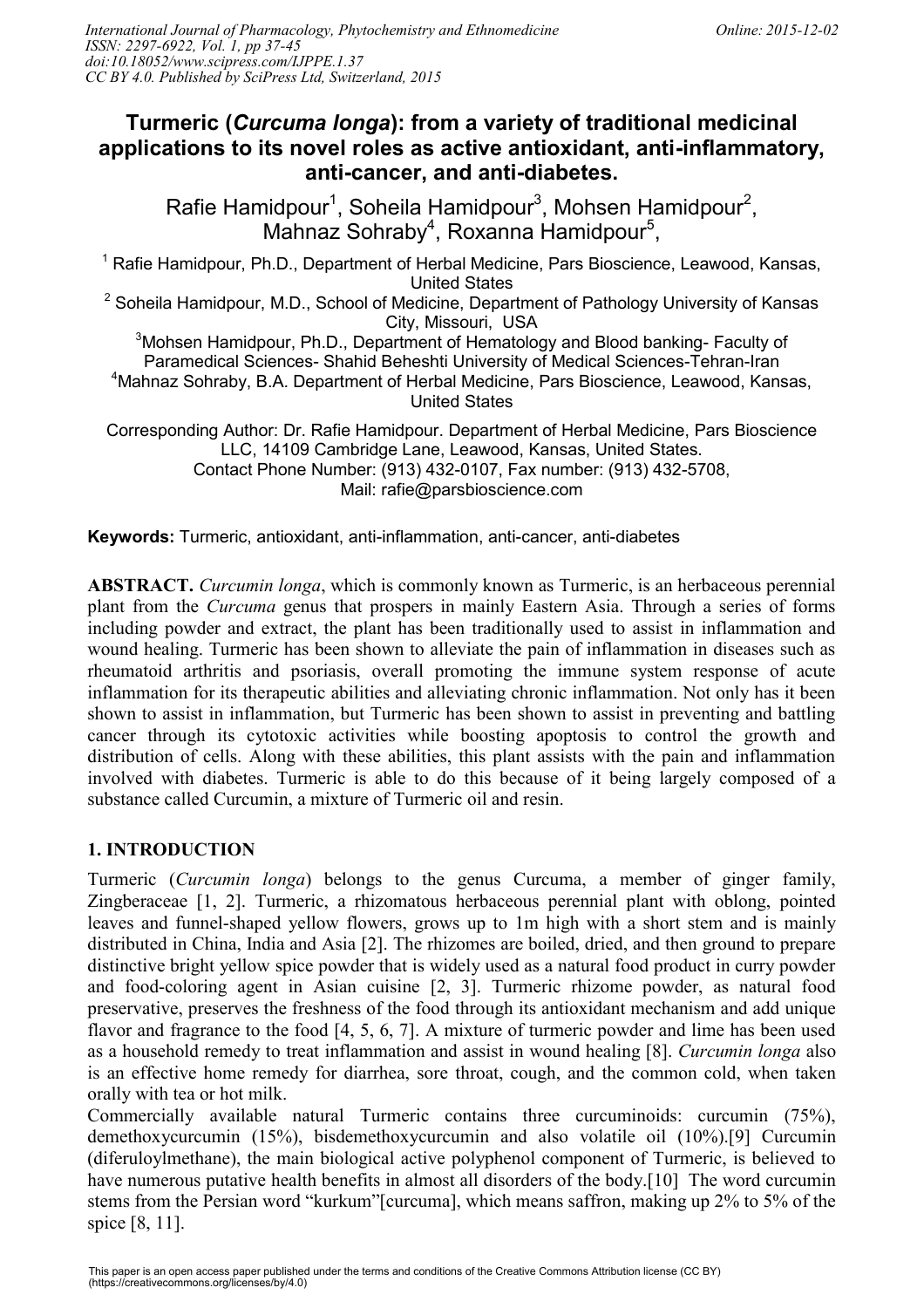# **Turmeric (***Curcuma longa***): from a variety of traditional medicinal applications to its novel roles as active antioxidant, anti-inflammatory, anti-cancer, and anti-diabetes.**

Rafie Hamidpour<sup>1</sup>, Soheila Hamidpour<sup>3</sup>, Mohsen Hamidpour<sup>2</sup>, Mahnaz Sohraby<sup>4</sup>, Roxanna Hamidpour<sup>5</sup>,

<sup>1</sup> Rafie Hamidpour, Ph.D., Department of Herbal Medicine, Pars Bioscience, Leawood, Kansas, United States

 $2$  Soheila Hamidpour, M.D., School of Medicine, Department of Pathology University of Kansas City, Missouri, USA

<sup>3</sup>Mohsen Hamidpour, Ph.D., Department of Hematology and Blood banking- Faculty of Paramedical Sciences- Shahid Beheshti University of Medical Sciences-Tehran-Iran <sup>4</sup>Mahnaz Sohraby, B.A. Department of Herbal Medicine, Pars Bioscience, Leawood, Kansas, United States

Corresponding Author: Dr. Rafie Hamidpour. Department of Herbal Medicine, Pars Bioscience LLC, 14109 Cambridge Lane, Leawood, Kansas, United States. Contact Phone Number: (913) 432-0107, Fax number: (913) 432-5708, Mail: rafie@parsbioscience.com

**Keywords:** Turmeric, antioxidant, anti-inflammation, anti-cancer, anti-diabetes

**ABSTRACT.** *Curcumin longa*, which is commonly known as Turmeric, is an herbaceous perennial plant from the *Curcuma* genus that prospers in mainly Eastern Asia. Through a series of forms including powder and extract, the plant has been traditionally used to assist in inflammation and wound healing. Turmeric has been shown to alleviate the pain of inflammation in diseases such as rheumatoid arthritis and psoriasis, overall promoting the immune system response of acute inflammation for its therapeutic abilities and alleviating chronic inflammation. Not only has it been shown to assist in inflammation, but Turmeric has been shown to assist in preventing and battling cancer through its cytotoxic activities while boosting apoptosis to control the growth and distribution of cells. Along with these abilities, this plant assists with the pain and inflammation involved with diabetes. Turmeric is able to do this because of it being largely composed of a substance called Curcumin, a mixture of Turmeric oil and resin.

## **1. INTRODUCTION**

Turmeric (*Curcumin longa*) belongs to the genus Curcuma, a member of ginger family, Zingberaceae [1, 2]. Turmeric, a rhizomatous herbaceous perennial plant with oblong, pointed leaves and funnel-shaped yellow flowers, grows up to 1m high with a short stem and is mainly distributed in China, India and Asia [2]. The rhizomes are boiled, dried, and then ground to prepare distinctive bright yellow spice powder that is widely used as a natural food product in curry powder and food-coloring agent in Asian cuisine [2, 3]. Turmeric rhizome powder, as natural food preservative, preserves the freshness of the food through its antioxidant mechanism and add unique flavor and fragrance to the food [4, 5, 6, 7]. A mixture of turmeric powder and lime has been used as a household remedy to treat inflammation and assist in wound healing [8]. *Curcumin longa* also is an effective home remedy for diarrhea, sore throat, cough, and the common cold, when taken orally with tea or hot milk.

Commercially available natural Turmeric contains three curcuminoids: curcumin (75%), demethoxycurcumin (15%), bisdemethoxycurcumin and also volatile oil (10%).[9] Curcumin (diferuloylmethane), the main biological active polyphenol component of Turmeric, is believed to have numerous putative health benefits in almost all disorders of the body.[10] The word curcumin stems from the Persian word "kurkum"[curcuma], which means saffron, making up 2% to 5% of the spice [8, 11].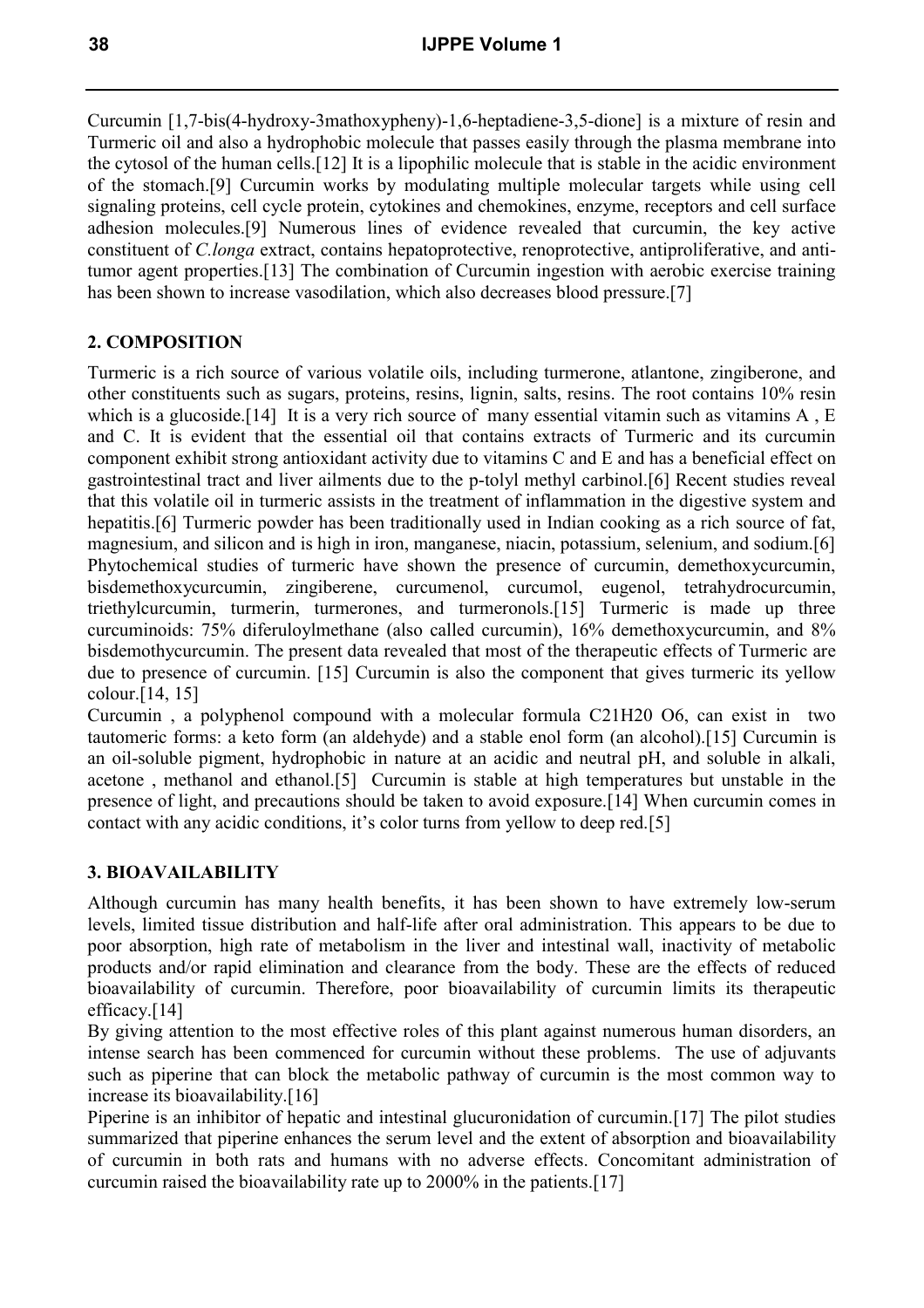Curcumin [1,7-bis(4-hydroxy-3mathoxypheny)-1,6-heptadiene-3,5-dione] is a mixture of resin and Turmeric oil and also a hydrophobic molecule that passes easily through the plasma membrane into the cytosol of the human cells.[12] It is a lipophilic molecule that is stable in the acidic environment of the stomach.[9] Curcumin works by modulating multiple molecular targets while using cell signaling proteins, cell cycle protein, cytokines and chemokines, enzyme, receptors and cell surface adhesion molecules.[9] Numerous lines of evidence revealed that curcumin, the key active constituent of *C.longa* extract, contains hepatoprotective, renoprotective, antiproliferative, and antitumor agent properties.[13] The combination of Curcumin ingestion with aerobic exercise training has been shown to increase vasodilation, which also decreases blood pressure.[7]

### **2. COMPOSITION**

Turmeric is a rich source of various volatile oils, including turmerone, atlantone, zingiberone, and other constituents such as sugars, proteins, resins, lignin, salts, resins. The root contains 10% resin which is a glucoside.<sup>[14]</sup> It is a very rich source of many essential vitamin such as vitamins A, E and C. It is evident that the essential oil that contains extracts of Turmeric and its curcumin component exhibit strong antioxidant activity due to vitamins C and E and has a beneficial effect on gastrointestinal tract and liver ailments due to the p-tolyl methyl carbinol.[6] Recent studies reveal that this volatile oil in turmeric assists in the treatment of inflammation in the digestive system and hepatitis.[6] Turmeric powder has been traditionally used in Indian cooking as a rich source of fat, magnesium, and silicon and is high in iron, manganese, niacin, potassium, selenium, and sodium.[6] Phytochemical studies of turmeric have shown the presence of curcumin, demethoxycurcumin, bisdemethoxycurcumin, zingiberene, curcumenol, curcumol, eugenol, tetrahydrocurcumin, triethylcurcumin, turmerin, turmerones, and turmeronols.[15] Turmeric is made up three curcuminoids: 75% diferuloylmethane (also called curcumin), 16% demethoxycurcumin, and 8% bisdemothycurcumin. The present data revealed that most of the therapeutic effects of Turmeric are due to presence of curcumin. [15] Curcumin is also the component that gives turmeric its yellow colour.[14, 15]

Curcumin , a polyphenol compound with a molecular formula C21H20 O6, can exist in two tautomeric forms: a keto form (an aldehyde) and a stable enol form (an alcohol).[15] Curcumin is an oil-soluble pigment, hydrophobic in nature at an acidic and neutral pH, and soluble in alkali, acetone , methanol and ethanol.[5] Curcumin is stable at high temperatures but unstable in the presence of light, and precautions should be taken to avoid exposure.[14] When curcumin comes in contact with any acidic conditions, it's color turns from yellow to deep red.[5]

### **3. BIOAVAILABILITY**

Although curcumin has many health benefits, it has been shown to have extremely low-serum levels, limited tissue distribution and half-life after oral administration. This appears to be due to poor absorption, high rate of metabolism in the liver and intestinal wall, inactivity of metabolic products and/or rapid elimination and clearance from the body. These are the effects of reduced bioavailability of curcumin. Therefore, poor bioavailability of curcumin limits its therapeutic efficacy.[14]

By giving attention to the most effective roles of this plant against numerous human disorders, an intense search has been commenced for curcumin without these problems. The use of adjuvants such as piperine that can block the metabolic pathway of curcumin is the most common way to increase its bioavailability.[16]

Piperine is an inhibitor of hepatic and intestinal glucuronidation of curcumin.[17] The pilot studies summarized that piperine enhances the serum level and the extent of absorption and bioavailability of curcumin in both rats and humans with no adverse effects. Concomitant administration of curcumin raised the bioavailability rate up to 2000% in the patients.[17]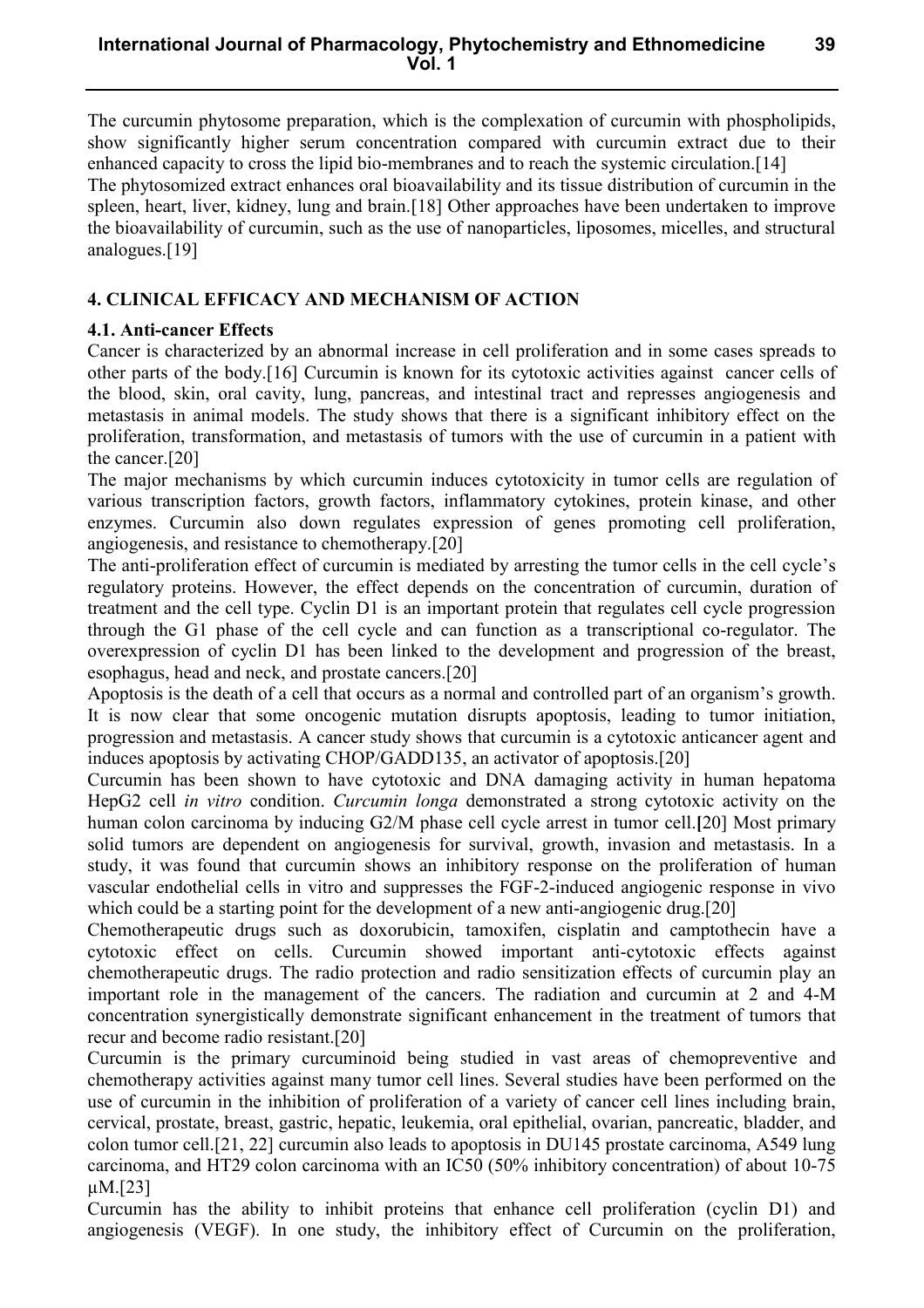**39**

The curcumin phytosome preparation, which is the complexation of curcumin with phospholipids, show significantly higher serum concentration compared with curcumin extract due to their enhanced capacity to cross the lipid bio-membranes and to reach the systemic circulation.[14] The phytosomized extract enhances oral bioavailability and its tissue distribution of curcumin in the spleen, heart, liver, kidney, lung and brain.[18] Other approaches have been undertaken to improve the bioavailability of curcumin, such as the use of nanoparticles, liposomes, micelles, and structural analogues.[19]

### **4. CLINICAL EFFICACY AND MECHANISM OF ACTION**

## **4.1. Anti-cancer Effects**

Cancer is characterized by an abnormal increase in cell proliferation and in some cases spreads to other parts of the body.[16] Curcumin is known for its cytotoxic activities against cancer cells of the blood, skin, oral cavity, lung, pancreas, and intestinal tract and represses angiogenesis and metastasis in animal models. The study shows that there is a significant inhibitory effect on the proliferation, transformation, and metastasis of tumors with the use of curcumin in a patient with the cancer.[20]

The major mechanisms by which curcumin induces cytotoxicity in tumor cells are regulation of various transcription factors, growth factors, inflammatory cytokines, protein kinase, and other enzymes. Curcumin also down regulates expression of genes promoting cell proliferation, angiogenesis, and resistance to chemotherapy.[20]

The anti-proliferation effect of curcumin is mediated by arresting the tumor cells in the cell cycle's regulatory proteins. However, the effect depends on the concentration of curcumin, duration of treatment and the cell type. Cyclin D1 is an important protein that regulates cell cycle progression through the G1 phase of the cell cycle and can function as a transcriptional co-regulator. The overexpression of cyclin D1 has been linked to the development and progression of the breast, esophagus, head and neck, and prostate cancers.[20]

Apoptosis is the death of a cell that occurs as a normal and controlled part of an organism's growth. It is now clear that some oncogenic mutation disrupts apoptosis, leading to tumor initiation, progression and metastasis. A cancer study shows that curcumin is a cytotoxic anticancer agent and induces apoptosis by activating CHOP/GADD135, an activator of apoptosis.[20]

Curcumin has been shown to have cytotoxic and DNA damaging activity in human hepatoma HepG2 cell *in vitro* condition. *Curcumin longa* demonstrated a strong cytotoxic activity on the human colon carcinoma by inducing G2/M phase cell cycle arrest in tumor cell.**[**20] Most primary solid tumors are dependent on angiogenesis for survival, growth, invasion and metastasis. In a study, it was found that curcumin shows an inhibitory response on the proliferation of human vascular endothelial cells in vitro and suppresses the FGF-2-induced angiogenic response in vivo which could be a starting point for the development of a new anti-angiogenic drug.[20]

Chemotherapeutic drugs such as doxorubicin, tamoxifen, cisplatin and camptothecin have a cytotoxic effect on cells. Curcumin showed important anti-cytotoxic effects against chemotherapeutic drugs. The radio protection and radio sensitization effects of curcumin play an important role in the management of the cancers. The radiation and curcumin at 2 and 4-M concentration synergistically demonstrate significant enhancement in the treatment of tumors that recur and become radio resistant.[20]

Curcumin is the primary curcuminoid being studied in vast areas of chemopreventive and chemotherapy activities against many tumor cell lines. Several studies have been performed on the use of curcumin in the inhibition of proliferation of a variety of cancer cell lines including brain, cervical, prostate, breast, gastric, hepatic, leukemia, oral epithelial, ovarian, pancreatic, bladder, and colon tumor cell.[21, 22] curcumin also leads to apoptosis in DU145 prostate carcinoma, A549 lung carcinoma, and HT29 colon carcinoma with an IC50 (50% inhibitory concentration) of about 10-75 µM.[23]

Curcumin has the ability to inhibit proteins that enhance cell proliferation (cyclin D1) and angiogenesis (VEGF). In one study, the inhibitory effect of Curcumin on the proliferation,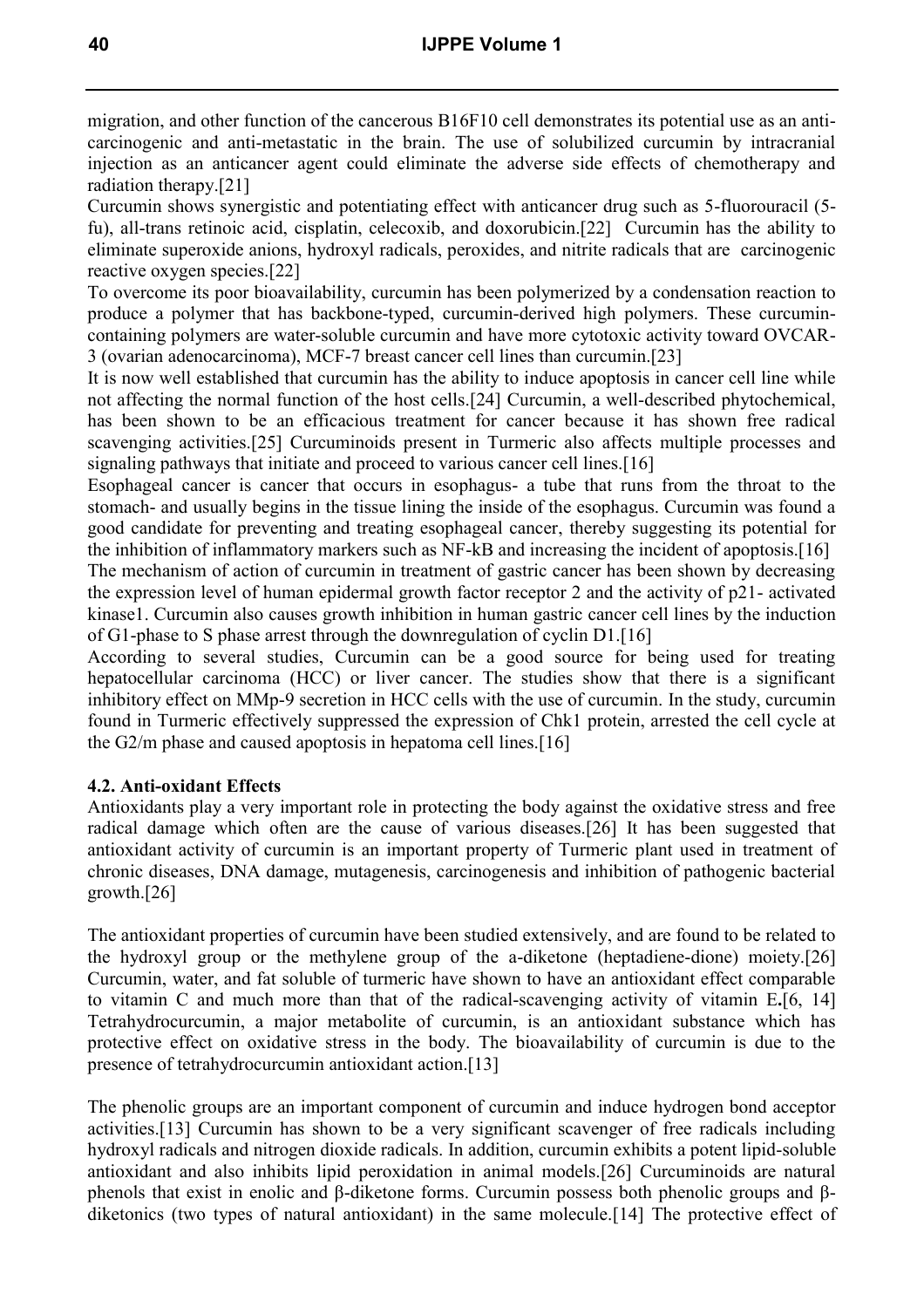migration, and other function of the cancerous B16F10 cell demonstrates its potential use as an anticarcinogenic and anti-metastatic in the brain. The use of solubilized curcumin by intracranial injection as an anticancer agent could eliminate the adverse side effects of chemotherapy and radiation therapy.[21]

Curcumin shows synergistic and potentiating effect with anticancer drug such as 5-fluorouracil (5 fu), all-trans retinoic acid, cisplatin, celecoxib, and doxorubicin.[22] Curcumin has the ability to eliminate superoxide anions, hydroxyl radicals, peroxides, and nitrite radicals that are carcinogenic reactive oxygen species.[22]

To overcome its poor bioavailability, curcumin has been polymerized by a condensation reaction to produce a polymer that has backbone-typed, curcumin-derived high polymers. These curcumincontaining polymers are water-soluble curcumin and have more cytotoxic activity toward OVCAR-3 (ovarian adenocarcinoma), MCF-7 breast cancer cell lines than curcumin.[23]

It is now well established that curcumin has the ability to induce apoptosis in cancer cell line while not affecting the normal function of the host cells.[24] Curcumin, a well-described phytochemical, has been shown to be an efficacious treatment for cancer because it has shown free radical scavenging activities.[25] Curcuminoids present in Turmeric also affects multiple processes and signaling pathways that initiate and proceed to various cancer cell lines.<sup>[16]</sup>

Esophageal cancer is cancer that occurs in esophagus- a tube that runs from the throat to the stomach- and usually begins in the tissue lining the inside of the esophagus. Curcumin was found a good candidate for preventing and treating esophageal cancer, thereby suggesting its potential for the inhibition of inflammatory markers such as NF-kB and increasing the incident of apoptosis.[16] The mechanism of action of curcumin in treatment of gastric cancer has been shown by decreasing the expression level of human epidermal growth factor receptor 2 and the activity of p21- activated kinase1. Curcumin also causes growth inhibition in human gastric cancer cell lines by the induction of G1-phase to S phase arrest through the downregulation of cyclin D1.[16]

According to several studies, Curcumin can be a good source for being used for treating hepatocellular carcinoma (HCC) or liver cancer. The studies show that there is a significant inhibitory effect on MMp-9 secretion in HCC cells with the use of curcumin. In the study, curcumin found in Turmeric effectively suppressed the expression of Chk1 protein, arrested the cell cycle at the G2/m phase and caused apoptosis in hepatoma cell lines.[16]

#### **4.2. Anti-oxidant Effects**

Antioxidants play a very important role in protecting the body against the oxidative stress and free radical damage which often are the cause of various diseases.[26] It has been suggested that antioxidant activity of curcumin is an important property of Turmeric plant used in treatment of chronic diseases, DNA damage, mutagenesis, carcinogenesis and inhibition of pathogenic bacterial growth.[26]

The antioxidant properties of curcumin have been studied extensively, and are found to be related to the hydroxyl group or the methylene group of the a-diketone (heptadiene-dione) moiety.[26] Curcumin, water, and fat soluble of turmeric have shown to have an antioxidant effect comparable to vitamin C and much more than that of the radical-scavenging activity of vitamin E**.**[6, 14] Tetrahydrocurcumin, a major metabolite of curcumin, is an antioxidant substance which has protective effect on oxidative stress in the body. The bioavailability of curcumin is due to the presence of tetrahydrocurcumin antioxidant action.[13]

The phenolic groups are an important component of curcumin and induce hydrogen bond acceptor activities.[13] Curcumin has shown to be a very significant scavenger of free radicals including hydroxyl radicals and nitrogen dioxide radicals. In addition, curcumin exhibits a potent lipid-soluble antioxidant and also inhibits lipid peroxidation in animal models.[26] Curcuminoids are natural phenols that exist in enolic and β-diketone forms. Curcumin possess both phenolic groups and βdiketonics (two types of natural antioxidant) in the same molecule.[14] The protective effect of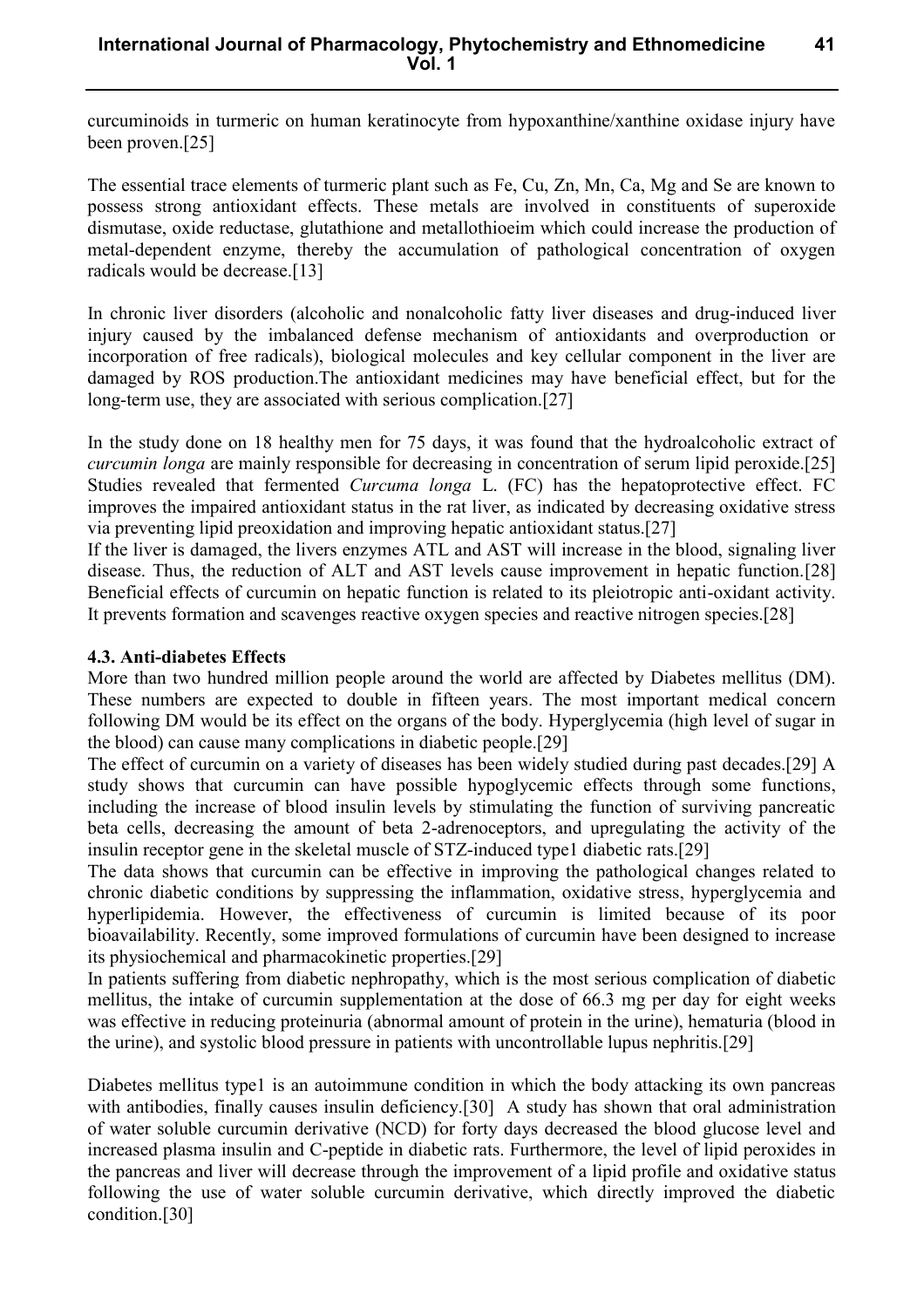curcuminoids in turmeric on human keratinocyte from hypoxanthine/xanthine oxidase injury have been proven.[25]

The essential trace elements of turmeric plant such as Fe, Cu, Zn, Mn, Ca, Mg and Se are known to possess strong antioxidant effects. These metals are involved in constituents of superoxide dismutase, oxide reductase, glutathione and metallothioeim which could increase the production of metal-dependent enzyme, thereby the accumulation of pathological concentration of oxygen radicals would be decrease.[13]

In chronic liver disorders (alcoholic and nonalcoholic fatty liver diseases and drug-induced liver injury caused by the imbalanced defense mechanism of antioxidants and overproduction or incorporation of free radicals), biological molecules and key cellular component in the liver are damaged by ROS production.The antioxidant medicines may have beneficial effect, but for the long-term use, they are associated with serious complication.[27]

In the study done on 18 healthy men for 75 days, it was found that the hydroalcoholic extract of *curcumin longa* are mainly responsible for decreasing in concentration of serum lipid peroxide.[25] Studies revealed that fermented *Curcuma longa* L. (FC) has the hepatoprotective effect. FC improves the impaired antioxidant status in the rat liver, as indicated by decreasing oxidative stress via preventing lipid preoxidation and improving hepatic antioxidant status.[27]

If the liver is damaged, the livers enzymes ATL and AST will increase in the blood, signaling liver disease. Thus, the reduction of ALT and AST levels cause improvement in hepatic function.[28] Beneficial effects of curcumin on hepatic function is related to its pleiotropic anti-oxidant activity. It prevents formation and scavenges reactive oxygen species and reactive nitrogen species.[28]

#### **4.3. Anti-diabetes Effects**

More than two hundred million people around the world are affected by Diabetes mellitus (DM). These numbers are expected to double in fifteen years. The most important medical concern following DM would be its effect on the organs of the body. Hyperglycemia (high level of sugar in the blood) can cause many complications in diabetic people.[29]

The effect of curcumin on a variety of diseases has been widely studied during past decades.[29] A study shows that curcumin can have possible hypoglycemic effects through some functions, including the increase of blood insulin levels by stimulating the function of surviving pancreatic beta cells, decreasing the amount of beta 2-adrenoceptors, and upregulating the activity of the insulin receptor gene in the skeletal muscle of STZ-induced type1 diabetic rats.[29]

The data shows that curcumin can be effective in improving the pathological changes related to chronic diabetic conditions by suppressing the inflammation, oxidative stress, hyperglycemia and hyperlipidemia. However, the effectiveness of curcumin is limited because of its poor bioavailability. Recently, some improved formulations of curcumin have been designed to increase its physiochemical and pharmacokinetic properties.[29]

In patients suffering from diabetic nephropathy, which is the most serious complication of diabetic mellitus, the intake of curcumin supplementation at the dose of 66.3 mg per day for eight weeks was effective in reducing proteinuria (abnormal amount of protein in the urine), hematuria (blood in the urine), and systolic blood pressure in patients with uncontrollable lupus nephritis.[29]

Diabetes mellitus type1 is an autoimmune condition in which the body attacking its own pancreas with antibodies, finally causes insulin deficiency.<sup>[30]</sup> A study has shown that oral administration of water soluble curcumin derivative (NCD) for forty days decreased the blood glucose level and increased plasma insulin and C-peptide in diabetic rats. Furthermore, the level of lipid peroxides in the pancreas and liver will decrease through the improvement of a lipid profile and oxidative status following the use of water soluble curcumin derivative, which directly improved the diabetic condition.[30]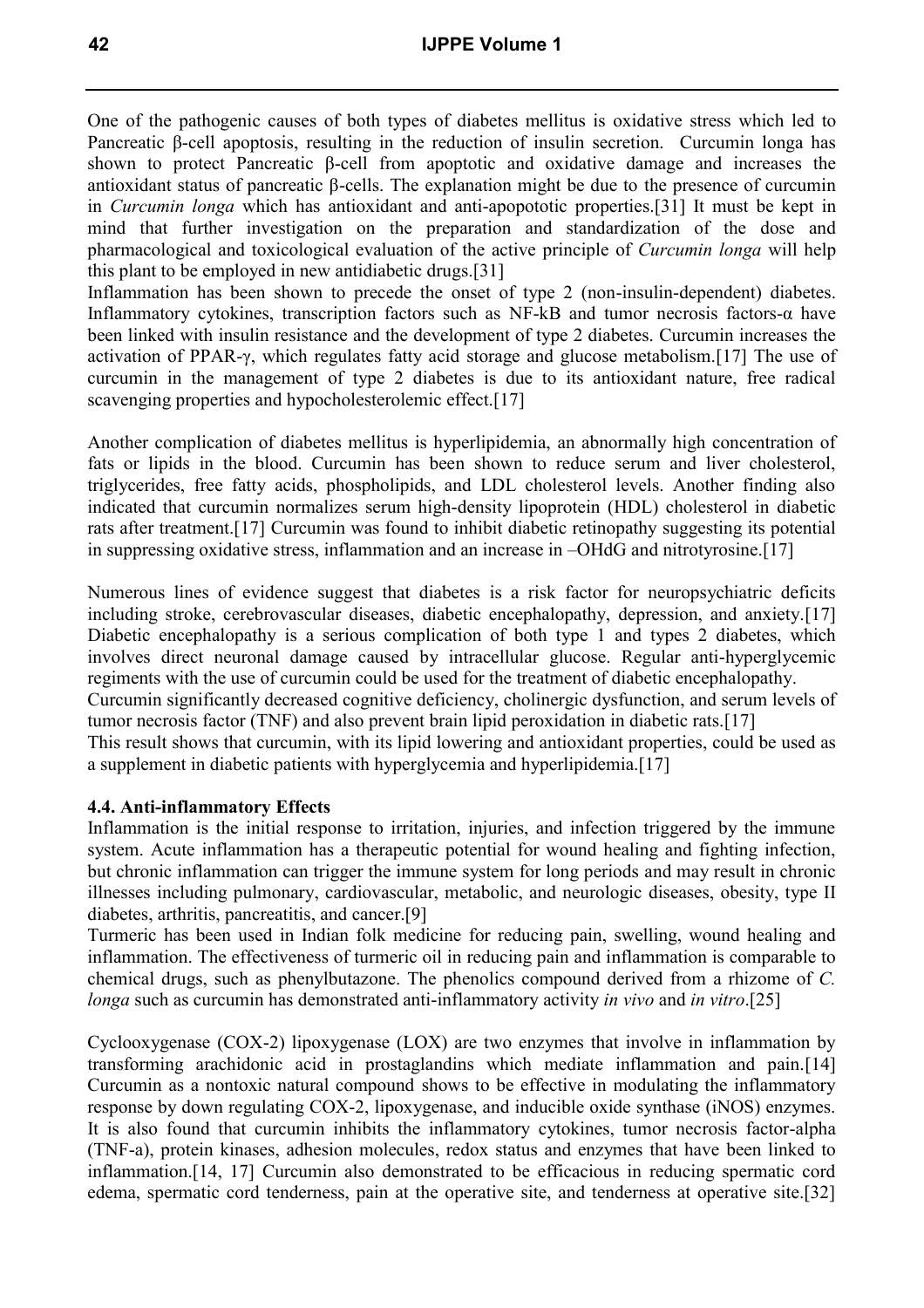One of the pathogenic causes of both types of diabetes mellitus is oxidative stress which led to Pancreatic β-cell apoptosis, resulting in the reduction of insulin secretion. Curcumin longa has shown to protect Pancreatic β-cell from apoptotic and oxidative damage and increases the antioxidant status of pancreatic β-cells. The explanation might be due to the presence of curcumin in *Curcumin longa* which has antioxidant and anti-apopototic properties.[31] It must be kept in mind that further investigation on the preparation and standardization of the dose and pharmacological and toxicological evaluation of the active principle of *Curcumin longa* will help this plant to be employed in new antidiabetic drugs.[31]

Inflammation has been shown to precede the onset of type 2 (non-insulin-dependent) diabetes. Inflammatory cytokines, transcription factors such as NF-kB and tumor necrosis factors-α have been linked with insulin resistance and the development of type 2 diabetes. Curcumin increases the activation of PPAR-γ, which regulates fatty acid storage and glucose metabolism.[17] The use of curcumin in the management of type 2 diabetes is due to its antioxidant nature, free radical scavenging properties and hypocholesterolemic effect.[17]

Another complication of diabetes mellitus is hyperlipidemia, an abnormally high concentration of fats or lipids in the blood. Curcumin has been shown to reduce serum and liver cholesterol, triglycerides, free fatty acids, phospholipids, and LDL cholesterol levels. Another finding also indicated that curcumin normalizes serum high-density lipoprotein (HDL) cholesterol in diabetic rats after treatment.[17] Curcumin was found to inhibit diabetic retinopathy suggesting its potential in suppressing oxidative stress, inflammation and an increase in –OHdG and nitrotyrosine.[17]

Numerous lines of evidence suggest that diabetes is a risk factor for neuropsychiatric deficits including stroke, cerebrovascular diseases, diabetic encephalopathy, depression, and anxiety.[17] Diabetic encephalopathy is a serious complication of both type 1 and types 2 diabetes, which involves direct neuronal damage caused by intracellular glucose. Regular anti-hyperglycemic regiments with the use of curcumin could be used for the treatment of diabetic encephalopathy. Curcumin significantly decreased cognitive deficiency, cholinergic dysfunction, and serum levels of tumor necrosis factor (TNF) and also prevent brain lipid peroxidation in diabetic rats.[17] This result shows that curcumin, with its lipid lowering and antioxidant properties, could be used as a supplement in diabetic patients with hyperglycemia and hyperlipidemia.[17]

#### **4.4. Anti-inflammatory Effects**

Inflammation is the initial response to irritation, injuries, and infection triggered by the immune system. Acute inflammation has a therapeutic potential for wound healing and fighting infection, but chronic inflammation can trigger the immune system for long periods and may result in chronic illnesses including pulmonary, cardiovascular, metabolic, and neurologic diseases, obesity, type II diabetes, arthritis, pancreatitis, and cancer.[9]

Turmeric has been used in Indian folk medicine for reducing pain, swelling, wound healing and inflammation. The effectiveness of turmeric oil in reducing pain and inflammation is comparable to chemical drugs, such as phenylbutazone. The phenolics compound derived from a rhizome of *C. longa* such as curcumin has demonstrated anti-inflammatory activity *in vivo* and *in vitro*.[25]

Cyclooxygenase (COX-2) lipoxygenase (LOX) are two enzymes that involve in inflammation by transforming arachidonic acid in prostaglandins which mediate inflammation and pain.[14] Curcumin as a nontoxic natural compound shows to be effective in modulating the inflammatory response by down regulating COX-2, lipoxygenase, and inducible oxide synthase (iNOS) enzymes. It is also found that curcumin inhibits the inflammatory cytokines, tumor necrosis factor-alpha (TNF-a), protein kinases, adhesion molecules, redox status and enzymes that have been linked to inflammation.[14, 17] Curcumin also demonstrated to be efficacious in reducing spermatic cord edema, spermatic cord tenderness, pain at the operative site, and tenderness at operative site.[32]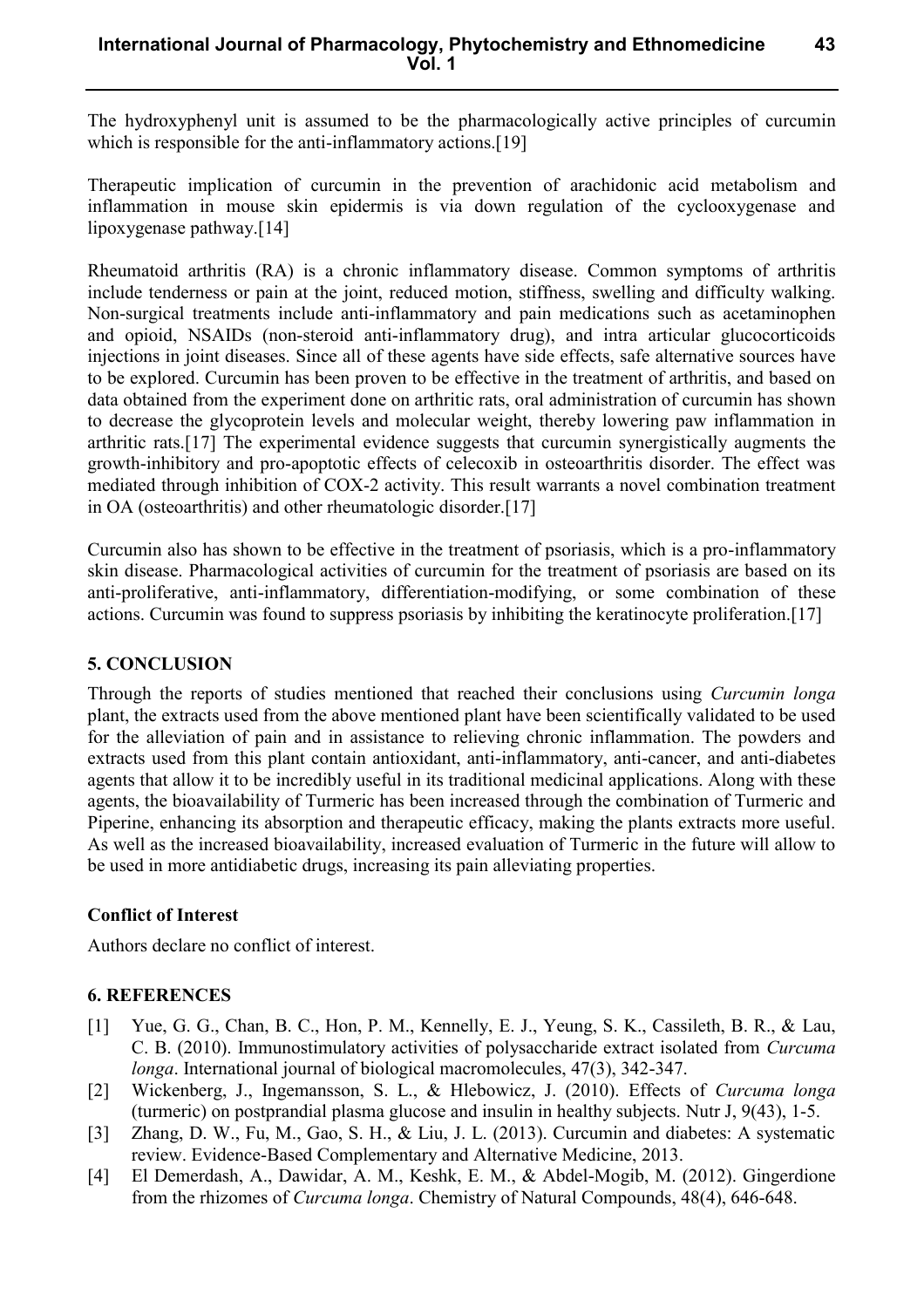**43**

The hydroxyphenyl unit is assumed to be the pharmacologically active principles of curcumin which is responsible for the anti-inflammatory actions.<sup>[19]</sup>

Therapeutic implication of curcumin in the prevention of arachidonic acid metabolism and inflammation in mouse skin epidermis is via down regulation of the cyclooxygenase and lipoxygenase pathway.[14]

Rheumatoid arthritis (RA) is a chronic inflammatory disease. Common symptoms of arthritis include tenderness or pain at the joint, reduced motion, stiffness, swelling and difficulty walking. Non-surgical treatments include anti-inflammatory and pain medications such as acetaminophen and opioid, NSAIDs (non-steroid anti-inflammatory drug), and intra articular glucocorticoids injections in joint diseases. Since all of these agents have side effects, safe alternative sources have to be explored. Curcumin has been proven to be effective in the treatment of arthritis, and based on data obtained from the experiment done on arthritic rats, oral administration of curcumin has shown to decrease the glycoprotein levels and molecular weight, thereby lowering paw inflammation in arthritic rats.[17] The experimental evidence suggests that curcumin synergistically augments the growth-inhibitory and pro-apoptotic effects of celecoxib in osteoarthritis disorder. The effect was mediated through inhibition of COX-2 activity. This result warrants a novel combination treatment in OA (osteoarthritis) and other rheumatologic disorder.[17]

Curcumin also has shown to be effective in the treatment of psoriasis, which is a pro-inflammatory skin disease. Pharmacological activities of curcumin for the treatment of psoriasis are based on its anti-proliferative, anti-inflammatory, differentiation-modifying, or some combination of these actions. Curcumin was found to suppress psoriasis by inhibiting the keratinocyte proliferation.[17]

### **5. CONCLUSION**

Through the reports of studies mentioned that reached their conclusions using *Curcumin longa*  plant, the extracts used from the above mentioned plant have been scientifically validated to be used for the alleviation of pain and in assistance to relieving chronic inflammation. The powders and extracts used from this plant contain antioxidant, anti-inflammatory, anti-cancer, and anti-diabetes agents that allow it to be incredibly useful in its traditional medicinal applications. Along with these agents, the bioavailability of Turmeric has been increased through the combination of Turmeric and Piperine, enhancing its absorption and therapeutic efficacy, making the plants extracts more useful. As well as the increased bioavailability, increased evaluation of Turmeric in the future will allow to be used in more antidiabetic drugs, increasing its pain alleviating properties.

#### **Conflict of Interest**

Authors declare no conflict of interest.

#### **6. REFERENCES**

- [1] Yue, G. G., Chan, B. C., Hon, P. M., Kennelly, E. J., Yeung, S. K., Cassileth, B. R., & Lau, C. B. (2010). Immunostimulatory activities of polysaccharide extract isolated from *Curcuma longa*. International journal of biological macromolecules, 47(3), 342-347.
- [2] Wickenberg, J., Ingemansson, S. L., & Hlebowicz, J. (2010). Effects of *Curcuma longa* (turmeric) on postprandial plasma glucose and insulin in healthy subjects. Nutr J, 9(43), 1-5.
- [3] Zhang, D. W., Fu, M., Gao, S. H., & Liu, J. L. (2013). Curcumin and diabetes: A systematic review. Evidence-Based Complementary and Alternative Medicine, 2013.
- [4] El Demerdash, A., Dawidar, A. M., Keshk, E. M., & Abdel-Mogib, M. (2012). Gingerdione from the rhizomes of *Curcuma longa*. Chemistry of Natural Compounds, 48(4), 646-648.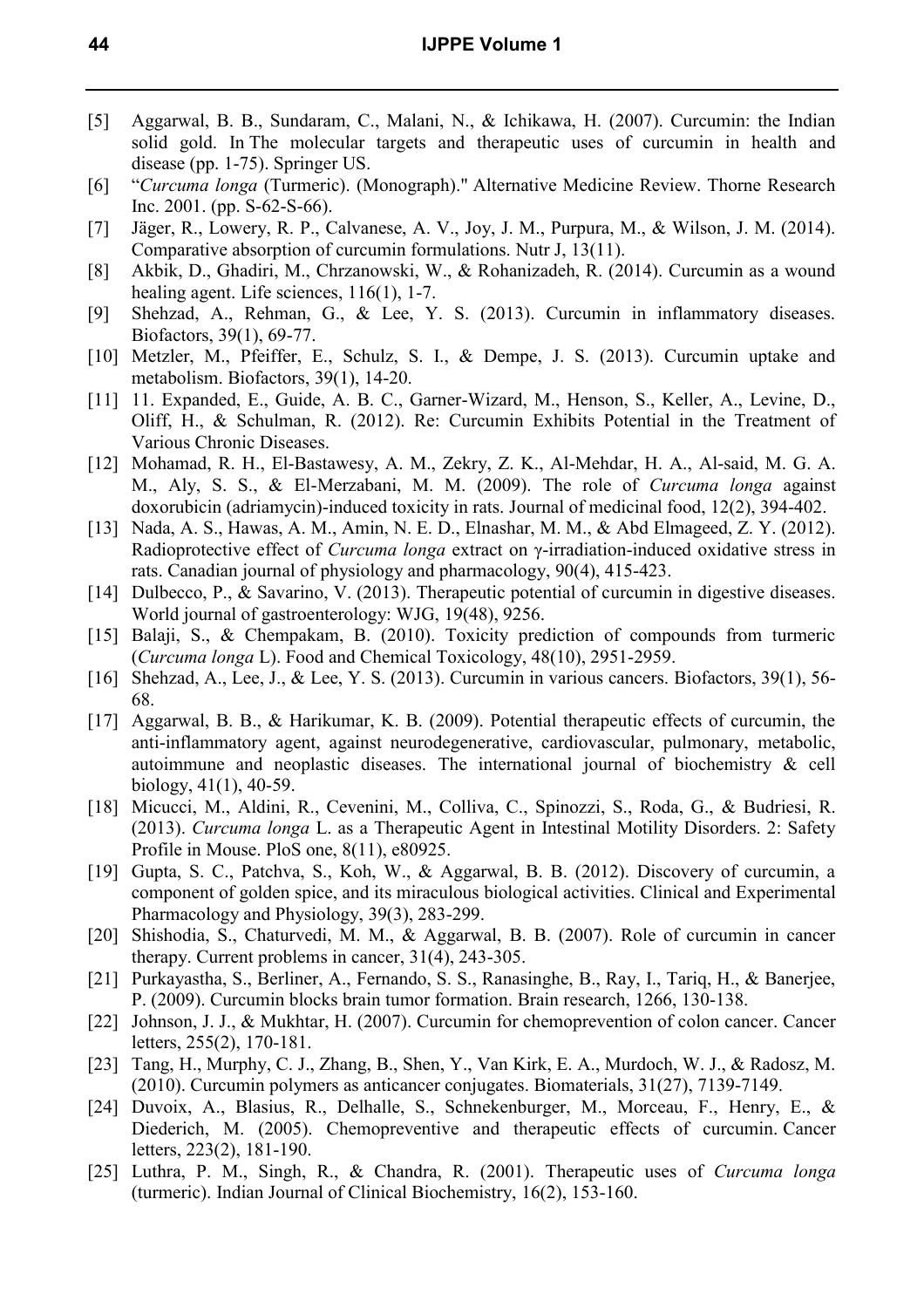- [5] Aggarwal, B. B., Sundaram, C., Malani, N., & Ichikawa, H. (2007). Curcumin: the Indian solid gold. In The molecular targets and therapeutic uses of curcumin in health and disease (pp. 1-75). Springer US.
- [6] "*Curcuma longa* (Turmeric). (Monograph)." Alternative Medicine Review. Thorne Research Inc. 2001. (pp. S-62-S-66).
- [7] Jäger, R., Lowery, R. P., Calvanese, A. V., Joy, J. M., Purpura, M., & Wilson, J. M. (2014). Comparative absorption of curcumin formulations. Nutr J, 13(11).
- [8] Akbik, D., Ghadiri, M., Chrzanowski, W., & Rohanizadeh, R. (2014). Curcumin as a wound healing agent. Life sciences, 116(1), 1-7.
- [9] Shehzad, A., Rehman, G., & Lee, Y. S. (2013). Curcumin in inflammatory diseases. Biofactors, 39(1), 69-77.
- [10] Metzler, M., Pfeiffer, E., Schulz, S. I., & Dempe, J. S. (2013). Curcumin uptake and metabolism. Biofactors, 39(1), 14-20.
- [11] 11. Expanded, E., Guide, A. B. C., Garner-Wizard, M., Henson, S., Keller, A., Levine, D., Oliff, H., & Schulman, R. (2012). Re: Curcumin Exhibits Potential in the Treatment of Various Chronic Diseases.
- [12] Mohamad, R. H., El-Bastawesy, A. M., Zekry, Z. K., Al-Mehdar, H. A., Al-said, M. G. A. M., Aly, S. S., & El-Merzabani, M. M. (2009). The role of *Curcuma longa* against doxorubicin (adriamycin)-induced toxicity in rats. Journal of medicinal food, 12(2), 394-402.
- [13] Nada, A. S., Hawas, A. M., Amin, N. E. D., Elnashar, M. M., & Abd Elmageed, Z. Y. (2012). Radioprotective effect of *Curcuma longa* extract on γ-irradiation-induced oxidative stress in rats. Canadian journal of physiology and pharmacology, 90(4), 415-423.
- [14] Dulbecco, P., & Savarino, V. (2013). Therapeutic potential of curcumin in digestive diseases. World journal of gastroenterology: WJG, 19(48), 9256.
- [15] Balaji, S., & Chempakam, B. (2010). Toxicity prediction of compounds from turmeric (*Curcuma longa* L). Food and Chemical Toxicology, 48(10), 2951-2959.
- [16] Shehzad, A., Lee, J., & Lee, Y. S. (2013). Curcumin in various cancers. Biofactors, 39(1), 56-68.
- [17] Aggarwal, B. B., & Harikumar, K. B. (2009). Potential therapeutic effects of curcumin, the anti-inflammatory agent, against neurodegenerative, cardiovascular, pulmonary, metabolic, autoimmune and neoplastic diseases. The international journal of biochemistry & cell biology, 41(1), 40-59.
- [18] Micucci, M., Aldini, R., Cevenini, M., Colliva, C., Spinozzi, S., Roda, G., & Budriesi, R. (2013). *Curcuma longa* L. as a Therapeutic Agent in Intestinal Motility Disorders. 2: Safety Profile in Mouse. PloS one, 8(11), e80925.
- [19] Gupta, S. C., Patchva, S., Koh, W., & Aggarwal, B. B. (2012). Discovery of curcumin, a component of golden spice, and its miraculous biological activities. Clinical and Experimental Pharmacology and Physiology, 39(3), 283-299.
- [20] Shishodia, S., Chaturvedi, M. M., & Aggarwal, B. B. (2007). Role of curcumin in cancer therapy. Current problems in cancer, 31(4), 243-305.
- [21] Purkayastha, S., Berliner, A., Fernando, S. S., Ranasinghe, B., Ray, I., Tariq, H., & Banerjee, P. (2009). Curcumin blocks brain tumor formation. Brain research, 1266, 130-138.
- [22] Johnson, J. J., & Mukhtar, H. (2007). Curcumin for chemoprevention of colon cancer. Cancer letters, 255(2), 170-181.
- [23] Tang, H., Murphy, C. J., Zhang, B., Shen, Y., Van Kirk, E. A., Murdoch, W. J., & Radosz, M. (2010). Curcumin polymers as anticancer conjugates. Biomaterials, 31(27), 7139-7149.
- [24] Duvoix, A., Blasius, R., Delhalle, S., Schnekenburger, M., Morceau, F., Henry, E., & Diederich, M. (2005). Chemopreventive and therapeutic effects of curcumin. Cancer letters, 223(2), 181-190.
- [25] Luthra, P. M., Singh, R., & Chandra, R. (2001). Therapeutic uses of *Curcuma longa* (turmeric). Indian Journal of Clinical Biochemistry, 16(2), 153-160.